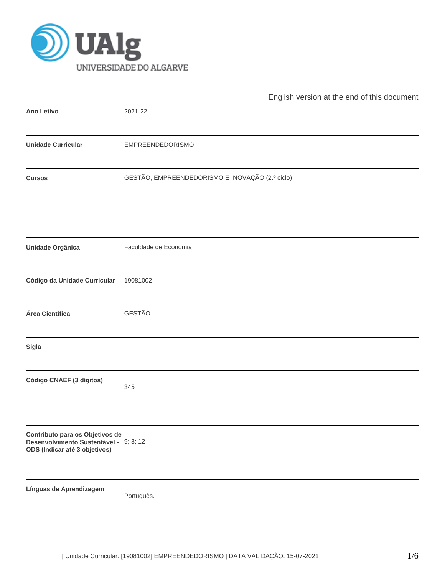

|                                                                                                            | English version at the end of this document     |
|------------------------------------------------------------------------------------------------------------|-------------------------------------------------|
| Ano Letivo                                                                                                 | 2021-22                                         |
| <b>Unidade Curricular</b>                                                                                  | <b>EMPREENDEDORISMO</b>                         |
| <b>Cursos</b>                                                                                              | GESTÃO, EMPREENDEDORISMO E INOVAÇÃO (2.º ciclo) |
| <b>Unidade Orgânica</b>                                                                                    | Faculdade de Economia                           |
| Código da Unidade Curricular                                                                               | 19081002                                        |
| Área Científica                                                                                            | GESTÃO                                          |
| Sigla                                                                                                      |                                                 |
| Código CNAEF (3 dígitos)                                                                                   | 345                                             |
| Contributo para os Objetivos de<br>Desenvolvimento Sustentável - 9; 8; 12<br>ODS (Indicar até 3 objetivos) |                                                 |
| Línguas de Aprendizagem                                                                                    | Português.                                      |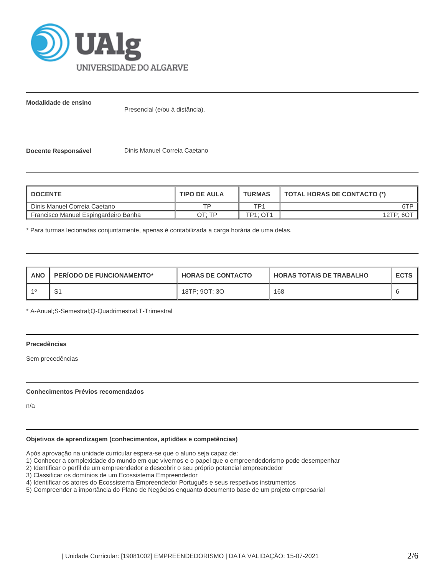

**Modalidade de ensino**

Presencial (e/ou à distância).

**Docente Responsável Dinis Manuel Correia Caetano** 

| <b>I DOCENTE</b>                     | <b>TIPO DE AULA</b> | <b>TURMAS</b>   | TOTAL HORAS DE CONTACTO (*) |
|--------------------------------------|---------------------|-----------------|-----------------------------|
| Dinis Manuel Correia Caetano         | ᅚᄆ                  | TP1             | 6TP                         |
| Francisco Manuel Espingardeiro Banha | חד ּ⊤ר              | <b>TP1: OT1</b> | 12TP: 6O <sup>T</sup>       |

\* Para turmas lecionadas conjuntamente, apenas é contabilizada a carga horária de uma delas.

| <b>ANO</b> | <b>PERIODO DE FUNCIONAMENTO*</b> | <b>HORAS DE CONTACTO</b> | <b>I HORAS TOTAIS DE TRABALHO</b> | <b>ECTS</b> |
|------------|----------------------------------|--------------------------|-----------------------------------|-------------|
|            | ັ                                | 18TP: 9OT: 3O            | 168                               |             |

\* A-Anual;S-Semestral;Q-Quadrimestral;T-Trimestral

## **Precedências**

Sem precedências

### **Conhecimentos Prévios recomendados**

n/a

# **Objetivos de aprendizagem (conhecimentos, aptidões e competências)**

Após aprovação na unidade curricular espera-se que o aluno seja capaz de:

1) Conhecer a complexidade do mundo em que vivemos e o papel que o empreendedorismo pode desempenhar

- 2) Identificar o perfil de um empreendedor e descobrir o seu próprio potencial empreendedor
- 3) Classificar os domínios de um Ecossistema Empreendedor
- 4) Identificar os atores do Ecossistema Empreendedor Português e seus respetivos instrumentos
- 5) Compreender a importância do Plano de Negócios enquanto documento base de um projeto empresarial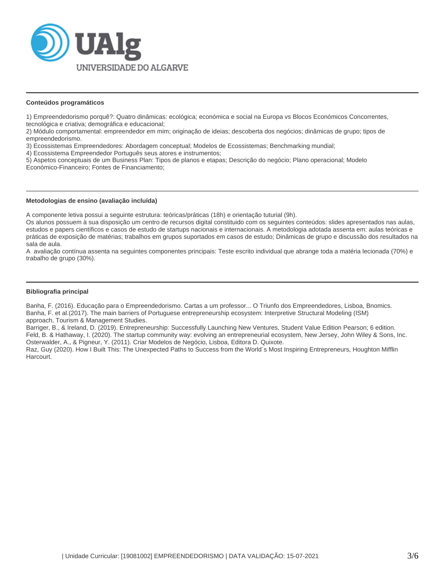

#### **Conteúdos programáticos**

1) Empreendedorismo porquê?: Quatro dinâmicas: ecológica; económica e social na Europa vs Blocos Económicos Concorrentes, tecnológica e criativa; demográfica e educacional;

2) Módulo comportamental: empreendedor em mim; originação de ideias; descoberta dos negócios; dinâmicas de grupo; tipos de empreendedorismo.

3) Ecossistemas Empreendedores: Abordagem conceptual; Modelos de Ecossistemas; Benchmarking mundial;

4) Ecossistema Empreendedor Português seus atores e instrumentos;

5) Aspetos conceptuais de um Business Plan: Tipos de planos e etapas; Descrição do negócio; Plano operacional; Modelo Económico-Financeiro; Fontes de Financiamento;

#### **Metodologias de ensino (avaliação incluída)**

A componente letiva possui a seguinte estrutura: teóricas/práticas (18h) e orientação tuturial (9h).

Os alunos possuem à sua disposição um centro de recursos digital constituido com os seguintes conteúdos: slides apresentados nas aulas, estudos e papers científicos e casos de estudo de startups nacionais e internacionais. A metodologia adotada assenta em: aulas teóricas e práticas de exposição de matérias; trabalhos em grupos suportados em casos de estudo; Dinâmicas de grupo e discussão dos resultados na sala de aula.

A avaliação contínua assenta na seguintes componentes principais: Teste escrito individual que abrange toda a matéria lecionada (70%) e trabalho de grupo (30%).

### **Bibliografia principal**

Banha, F. (2016). Educação para o Empreendedorismo. Cartas a um professor... O Triunfo dos Empreendedores, Lisboa, Bnomics. Banha, F. et al.(2017). The main barriers of Portuguese entrepreneurship ecosystem: Interpretive Structural Modeling (ISM) approach, Tourism & Management Studies.

Barriger, B., & Ireland, D. (2019). Entrepreneurship: Successfully Launching New Ventures, Student Value Edition Pearson; 6 edition. Feld, B. & Hathaway, I. (2020). The startup community way: evolving an entrepreneurial ecosystem, New Jersey, John Wiley & Sons, Inc. Osterwalder, A., & Pigneur, Y. (2011). Criar Modelos de Negócio, Lisboa, Editora D. Quixote.

Raz, Guy (2020). How I Built This: The Unexpected Paths to Success from the World´s Most Inspiring Entrepreneurs, Houghton Mifflin Harcourt.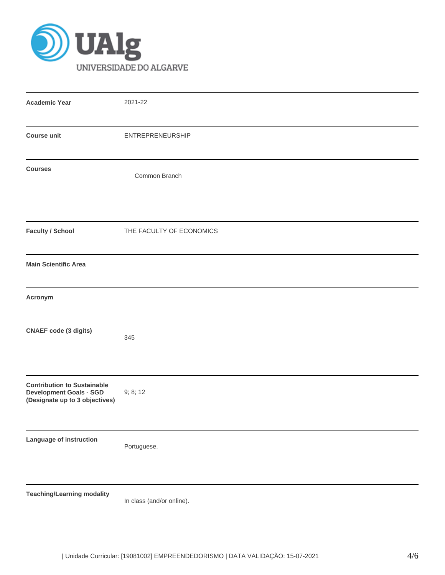

| <b>Academic Year</b>                                                                                   | 2021-22                  |
|--------------------------------------------------------------------------------------------------------|--------------------------|
| <b>Course unit</b>                                                                                     | <b>ENTREPRENEURSHIP</b>  |
| <b>Courses</b>                                                                                         | Common Branch            |
| <b>Faculty / School</b>                                                                                | THE FACULTY OF ECONOMICS |
| <b>Main Scientific Area</b>                                                                            |                          |
| Acronym                                                                                                |                          |
| <b>CNAEF</b> code (3 digits)                                                                           | 345                      |
| <b>Contribution to Sustainable</b><br><b>Development Goals - SGD</b><br>(Designate up to 3 objectives) | 9; 8; 12                 |
| Language of instruction                                                                                | Portuguese.              |
|                                                                                                        |                          |

**Teaching/Learning modality**

In class (and/or online).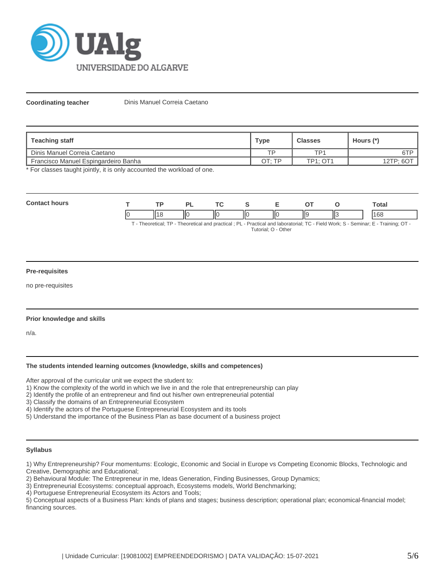

**Coordinating teacher** Dinis Manuel Correia Caetano

| Teaching staff                        | <b>Type</b> | <b>Classes</b>  | Hours (*) |
|---------------------------------------|-------------|-----------------|-----------|
| <b>I</b> Dinis Manuel Correia Caetano | <b>TD</b>   | TP <sub>1</sub> | 6TP       |
| Francisco Manuel Espingardeiro Banha  | OT:TP       | <b>TP1: OT1</b> | 12TP; 601 |

\* For classes taught jointly, it is only accounted the workload of one.

| <b>Conta</b><br>hours |  |               | TO. |   | - |     | otal |
|-----------------------|--|---------------|-----|---|---|-----|------|
|                       |  | $\parallel$ C | ΠС  | Ш | Ш | lls | 168  |

T - Theoretical; TP - Theoretical and practical ; PL - Practical and laboratorial; TC - Field Work; S - Seminar; E - Training; OT - Tutorial; O - Other

### **Pre-requisites**

no pre-requisites

### **Prior knowledge and skills**

n/a.

### **The students intended learning outcomes (knowledge, skills and competences)**

After approval of the curricular unit we expect the student to:

1) Know the complexity of the world in which we live in and the role that entrepreneurship can play

2) Identify the profile of an entrepreneur and find out his/her own entrepreneurial potential

3) Classify the domains of an Entrepreneurial Ecosystem

4) Identify the actors of the Portuguese Entrepreneurial Ecosystem and its tools

5) Understand the importance of the Business Plan as base document of a business project

### **Syllabus**

1) Why Entrepreneurship? Four momentums: Ecologic, Economic and Social in Europe vs Competing Economic Blocks, Technologic and Creative, Demographic and Educational;

2) Behavioural Module: The Entrepreneur in me, Ideas Generation, Finding Businesses, Group Dynamics;

3) Entrepreneurial Ecosystems: conceptual approach, Ecosystems models, World Benchmarking;

4) Portuguese Entrepreneurial Ecosystem its Actors and Tools;

5) Conceptual aspects of a Business Plan: kinds of plans and stages; business description; operational plan; economical-financial model; financing sources.